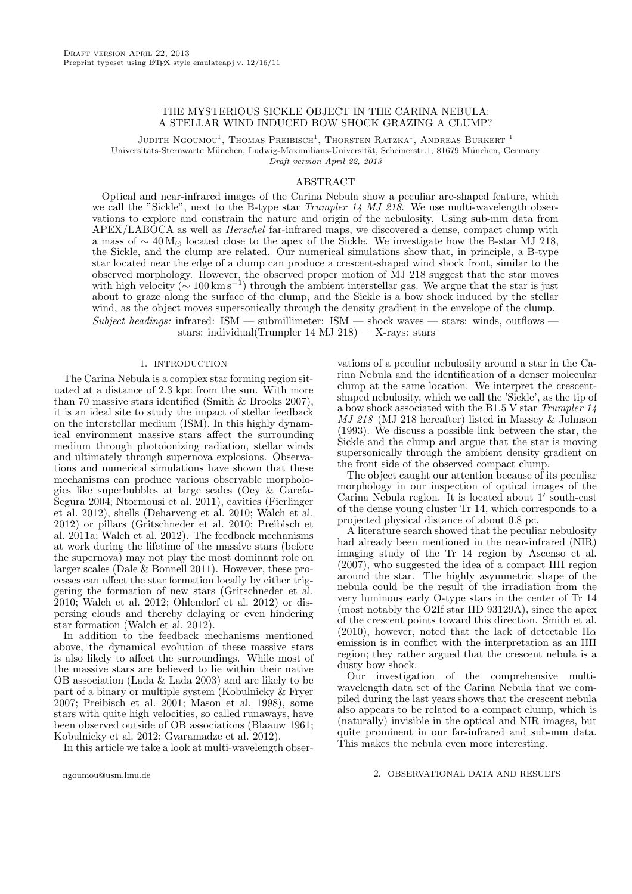## THE MYSTERIOUS SICKLE OBJECT IN THE CARINA NEBULA: A STELLAR WIND INDUCED BOW SHOCK GRAZING A CLUMP?

Judith Ngoumou<sup>1</sup>, Thomas Preibisch<sup>1</sup>, Thorsten Ratzka<sup>1</sup>, Andreas Burkert<sup>1</sup> Universitäts-Sternwarte München, Ludwig-Maximilians-Universität, Scheinerstr.1, 81679 München, Germany Draft version April 22, 2013

## ABSTRACT

Optical and near-infrared images of the Carina Nebula show a peculiar arc-shaped feature, which we call the "Sickle", next to the B-type star Trumpler 14 MJ 218. We use multi-wavelength observations to explore and constrain the nature and origin of the nebulosity. Using sub-mm data from APEX/LABOCA as well as Herschel far-infrared maps, we discovered a dense, compact clump with a mass of  $\sim 40 \,\mathrm{M_{\odot}}$  located close to the apex of the Sickle. We investigate how the B-star MJ 218, the Sickle, and the clump are related. Our numerical simulations show that, in principle, a B-type star located near the edge of a clump can produce a crescent-shaped wind shock front, similar to the observed morphology. However, the observed proper motion of MJ 218 suggest that the star moves with high velocity ( $\sim 100 \,\mathrm{km\,s^{-1}}$ ) through the ambient interstellar gas. We argue that the star is just about to graze along the surface of the clump, and the Sickle is a bow shock induced by the stellar wind, as the object moves supersonically through the density gradient in the envelope of the clump. Subject headings: infrared:  $ISM$  — submillimeter:  $ISM$  — shock waves — stars: winds, outflows

stars: individual(Trumpler 14 MJ 218) — X-rays: stars

## 1. INTRODUCTION

The Carina Nebula is a complex star forming region situated at a distance of 2.3 kpc from the sun. With more than 70 massive stars identified (Smith & Brooks 2007), it is an ideal site to study the impact of stellar feedback on the interstellar medium (ISM). In this highly dynamical environment massive stars affect the surrounding medium through photoionizing radiation, stellar winds and ultimately through supernova explosions. Observations and numerical simulations have shown that these mechanisms can produce various observable morphologies like superbubbles at large scales (Oey  $&$  García-Segura 2004; Ntormousi et al. 2011), cavities (Fierlinger et al. 2012), shells (Deharveng et al. 2010; Walch et al. 2012) or pillars (Gritschneder et al. 2010; Preibisch et al. 2011a; Walch et al. 2012). The feedback mechanisms at work during the lifetime of the massive stars (before the supernova) may not play the most dominant role on larger scales (Dale & Bonnell 2011). However, these processes can affect the star formation locally by either triggering the formation of new stars (Gritschneder et al. 2010; Walch et al. 2012; Ohlendorf et al. 2012) or dispersing clouds and thereby delaying or even hindering star formation (Walch et al. 2012).

In addition to the feedback mechanisms mentioned above, the dynamical evolution of these massive stars is also likely to affect the surroundings. While most of the massive stars are believed to lie within their native OB association (Lada & Lada 2003) and are likely to be part of a binary or multiple system (Kobulnicky & Fryer 2007; Preibisch et al. 2001; Mason et al. 1998), some stars with quite high velocities, so called runaways, have been observed outside of OB associations (Blaauw 1961; Kobulnicky et al. 2012; Gvaramadze et al. 2012).

In this article we take a look at multi-wavelength obser-

ngoumou@usm.lmu.de

vations of a peculiar nebulosity around a star in the Carina Nebula and the identification of a denser molecular clump at the same location. We interpret the crescentshaped nebulosity, which we call the 'Sickle', as the tip of a bow shock associated with the B1.5 V star Trumpler 14 MJ 218 (MJ 218 hereafter) listed in Massey & Johnson (1993). We discuss a possible link between the star, the Sickle and the clump and argue that the star is moving supersonically through the ambient density gradient on the front side of the observed compact clump.

The object caught our attention because of its peculiar morphology in our inspection of optical images of the Carina Nebula region. It is located about 1′ south-east of the dense young cluster Tr 14, which corresponds to a projected physical distance of about 0.8 pc.

A literature search showed that the peculiar nebulosity had already been mentioned in the near-infrared (NIR) imaging study of the Tr 14 region by Ascenso et al. (2007), who suggested the idea of a compact HII region around the star. The highly asymmetric shape of the nebula could be the result of the irradiation from the very luminous early O-type stars in the center of Tr 14 (most notably the O2If star HD 93129A), since the apex of the crescent points toward this direction. Smith et al. (2010), however, noted that the lack of detectable  $H\alpha$ emission is in conflict with the interpretation as an HII region; they rather argued that the crescent nebula is a dusty bow shock.

Our investigation of the comprehensive multiwavelength data set of the Carina Nebula that we compiled during the last years shows that the crescent nebula also appears to be related to a compact clump, which is (naturally) invisible in the optical and NIR images, but quite prominent in our far-infrared and sub-mm data. This makes the nebula even more interesting.

## 2. OBSERVATIONAL DATA AND RESULTS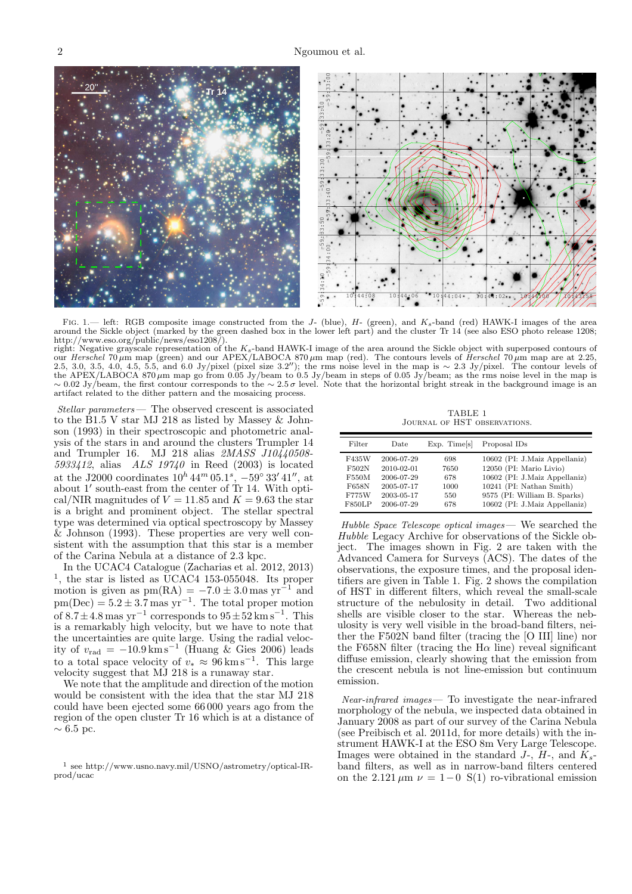

FIG. 1.— left: RGB composite image constructed from the J- (blue),  $H$ - (green), and  $K_s$ -band (red) HAWK-I images of the area around the Sickle object (marked by the green dashed box in the lower left part) and the cluster Tr 14 (see also ESO photo release 1208; http://www.eso.org/public/news/eso1208/).

right: Negative grayscale representation of the  $K_s$ -band HAWK-I image of the area around the Sickle object with superposed contours of our Herschel 70  $\mu$ m map (green) and our APEX/LABOCA 870  $\mu$ m map (red). The contours levels of Herschel 70  $\mu$ m map are at 2.25, 2.5, 3.0, 3.5, 4.0, 4.5, 5.5, and 6.0 Jy/pixel (pixel size 3.2"); the rms noise level in the map is ∼ 2.3 Jy/pixel. The contour levels of the APEX/LABOCA 870  $\mu$ m map go from 0.05 Jy/beam to 0.5 Jy/beam in steps of 0.05 Jy/beam; as the rms noise level in the map is  $\sim 0.02$  Jy/beam, the first contour corresponds to the  $\sim 2.5\,\sigma$  level. Note that the hor artifact related to the dither pattern and the mosaicing process.

Stellar parameters — The observed crescent is associated to the B1.5 V star MJ 218 as listed by Massey & Johnson (1993) in their spectroscopic and photometric analysis of the stars in and around the clusters Trumpler 14 and Trumpler 16. MJ 218 alias  $2MASS$  J10 $\sqrt{40508}$ -5933412, alias  $ALS$  19740 in Reed (2003) is located at the J2000 coordinates  $10^h 44^m 05.1^s$ ,  $-59° 33' 41''$ , at about 1′ south-east from the center of Tr 14. With optical/NIR magnitudes of  $V = 11.85$  and  $K = 9.63$  the star is a bright and prominent object. The stellar spectral type was determined via optical spectroscopy by Massey & Johnson (1993). These properties are very well consistent with the assumption that this star is a member of the Carina Nebula at a distance of 2.3 kpc.

In the UCAC4 Catalogue (Zacharias et al. 2012, 2013) 1 , the star is listed as UCAC4 153-055048. Its proper motion is given as  $pm(RA) = -7.0 \pm 3.0$  mas  $yr^{-1}$  and  $pm(Dec) = 5.2 \pm 3.7$  mas yr<sup>-1</sup>. The total proper motion of  $8.7 \pm 4.8$  mas yr<sup>-1</sup> corresponds to  $95 \pm 52$  km s<sup>-1</sup>. This is a remarkably high velocity, but we have to note that the uncertainties are quite large. Using the radial velocity of  $v_{\text{rad}} = -10.9 \text{ km s}^{-1}$  (Huang & Gies 2006) leads to a total space velocity of  $v_* \approx 96 \,\mathrm{km \, s^{-1}}$ . This large velocity suggest that MJ 218 is a runaway star.

We note that the amplitude and direction of the motion would be consistent with the idea that the star MJ 218 could have been ejected some 66 000 years ago from the region of the open cluster Tr 16 which is at a distance of  $∼ 6.5$  pc.

TABLE 1 Journal of HST observations.

| Filter        | Date       | $Exp.$ Times | Proposal IDs                  |
|---------------|------------|--------------|-------------------------------|
| F435W         | 2006-07-29 | 698          | 10602 (PI: J.Maiz Appellaniz) |
| F502N         | 2010-02-01 | 7650         | 12050 (PI: Mario Livio)       |
| F550M         | 2006-07-29 | 678          | 10602 (PI: J.Maiz Appellaniz) |
| F658N         | 2005-07-17 | 1000         | 10241 (PI: Nathan Smith)      |
| F775W         | 2003-05-17 | 550          | 9575 (PI: William B. Sparks)  |
| <b>F850LP</b> | 2006-07-29 | 678          | 10602 (PI: J.Maiz Appellaniz) |

Hubble Space Telescope optical images— We searched the Hubble Legacy Archive for observations of the Sickle object. The images shown in Fig. 2 are taken with the Advanced Camera for Surveys (ACS). The dates of the observations, the exposure times, and the proposal identifiers are given in Table 1. Fig. 2 shows the compilation of HST in different filters, which reveal the small-scale structure of the nebulosity in detail. Two additional shells are visible closer to the star. Whereas the nebulosity is very well visible in the broad-band filters, neither the F502N band filter (tracing the [O III] line) nor the F658N filter (tracing the  $H\alpha$  line) reveal significant diffuse emission, clearly showing that the emission from the crescent nebula is not line-emission but continuum emission.

Near-infrared images— To investigate the near-infrared morphology of the nebula, we inspected data obtained in January 2008 as part of our survey of the Carina Nebula (see Preibisch et al. 2011d, for more details) with the instrument HAWK-I at the ESO 8m Very Large Telescope. Images were obtained in the standard J-,  $H$ -, and  $K_s$ band filters, as well as in narrow-band filters centered on the 2.121  $\mu$ m  $\nu = 1-0$  S(1) ro-vibrational emission

<sup>1</sup> see http://www.usno.navy.mil/USNO/astrometry/optical-IRprod/ucac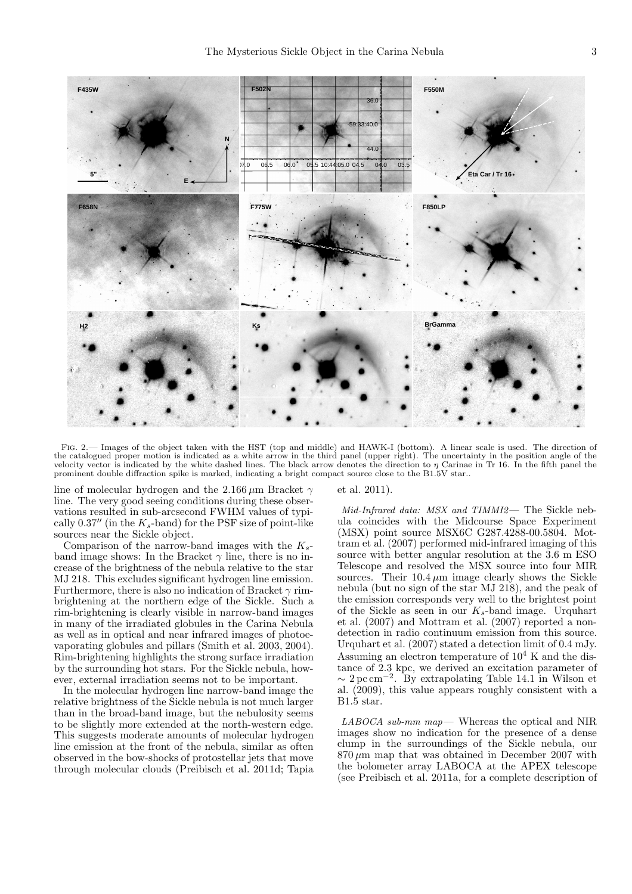

FIG. 2.— Images of the object taken with the HST (top and middle) and HAWK-I (bottom). A linear scale is used. The direction of the catalogued proper motion is indicated as a white arrow in the third panel (upper right). The uncertainty in the position angle of the velocity vector is indicated by the white dashed lines. The black arrow denotes the direction to  $\eta$  Carinae in Tr 16. In the fifth panel the prominent double diffraction spike is marked, indicating a bright compact source close to the B1.5V star..

line of molecular hydrogen and the 2.166  $\mu$ m Bracket  $\gamma$ line. The very good seeing conditions during these observations resulted in sub-arcsecond FWHM values of typically 0.37" (in the  $K_s$ -band) for the PSF size of point-like sources near the Sickle object.

Comparison of the narrow-band images with the  $K_s$ band image shows: In the Bracket  $\gamma$  line, there is no increase of the brightness of the nebula relative to the star MJ 218. This excludes significant hydrogen line emission. Furthermore, there is also no indication of Bracket  $\gamma$  rimbrightening at the northern edge of the Sickle. Such a rim-brightening is clearly visible in narrow-band images in many of the irradiated globules in the Carina Nebula as well as in optical and near infrared images of photoevaporating globules and pillars (Smith et al. 2003, 2004). Rim-brightening highlights the strong surface irradiation by the surrounding hot stars. For the Sickle nebula, however, external irradiation seems not to be important.

In the molecular hydrogen line narrow-band image the relative brightness of the Sickle nebula is not much larger than in the broad-band image, but the nebulosity seems to be slightly more extended at the north-western edge. This suggests moderate amounts of molecular hydrogen line emission at the front of the nebula, similar as often observed in the bow-shocks of protostellar jets that move through molecular clouds (Preibisch et al. 2011d; Tapia et al. 2011).

Mid-Infrared data: MSX and TIMMI2— The Sickle nebula coincides with the Midcourse Space Experiment (MSX) point source MSX6C G287.4288-00.5804. Mottram et al. (2007) performed mid-infrared imaging of this source with better angular resolution at the 3.6 m ESO Telescope and resolved the MSX source into four MIR sources. Their  $10.4 \mu m$  image clearly shows the Sickle nebula (but no sign of the star MJ 218), and the peak of the emission corresponds very well to the brightest point of the Sickle as seen in our  $K_s$ -band image. Urquhart et al. (2007) and Mottram et al. (2007) reported a nondetection in radio continuum emission from this source. Urquhart et al. (2007) stated a detection limit of 0.4 mJy. Assuming an electron temperature of  $10^4$  K and the distance of 2.3 kpc, we derived an excitation parameter of  $\sim 2 \,\text{pc}\,\text{cm}^{-2}$ . By extrapolating Table 14.1 in Wilson et al. (2009), this value appears roughly consistent with a B1.5 star.

 $LABOCA$  sub-mm map — Whereas the optical and NIR images show no indication for the presence of a dense clump in the surroundings of the Sickle nebula, our  $870 \,\mu m$  map that was obtained in December 2007 with the bolometer array LABOCA at the APEX telescope (see Preibisch et al. 2011a, for a complete description of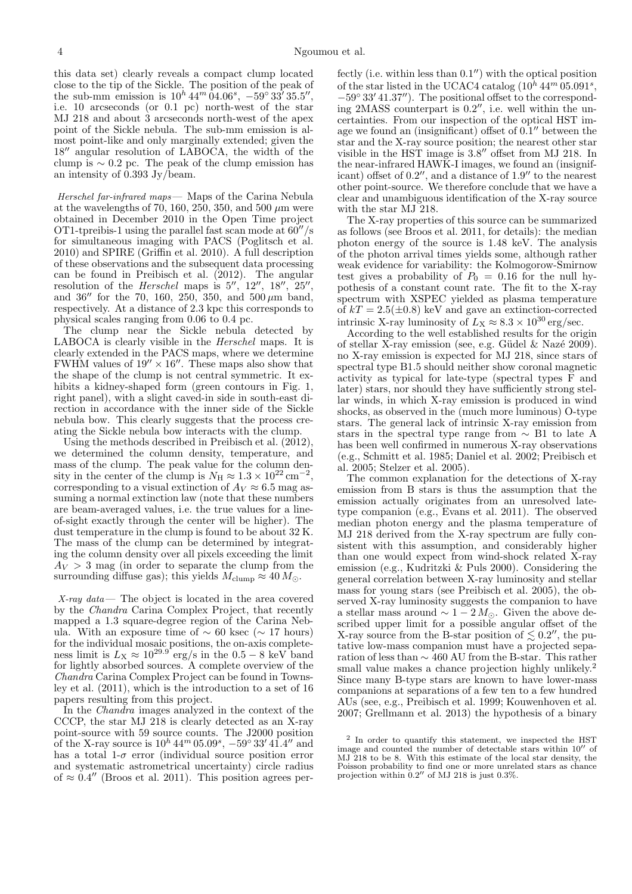this data set) clearly reveals a compact clump located close to the tip of the Sickle. The position of the peak of the sub-mm emission is  $10^h 44^m 04.06^s$ ,  $-59° 33' 35.5'',$ i.e. 10 arcseconds (or 0.1 pc) north-west of the star MJ 218 and about 3 arcseconds north-west of the apex point of the Sickle nebula. The sub-mm emission is almost point-like and only marginally extended; given the 18′′ angular resolution of LABOCA, the width of the clump is  $\sim 0.2$  pc. The peak of the clump emission has an intensity of  $0.393 \mathrm{Jy/beam}$ .

Herschel far-infrared maps— Maps of the Carina Nebula at the wavelengths of 70, 160, 250, 350, and 500  $\mu$ m were obtained in December 2010 in the Open Time project OT1-tpreibis-1 using the parallel fast scan mode at 60′′/s for simultaneous imaging with PACS (Poglitsch et al. 2010) and SPIRE (Griffin et al. 2010). A full description of these observations and the subsequent data processing can be found in Preibisch et al. (2012). The angular resolution of the *Herschel* maps is  $5''$ ,  $12''$ ,  $18''$ ,  $25''$ , and  $36''$  for the 70, 160, 250, 350, and  $500 \,\mu m$  band, respectively. At a distance of 2.3 kpc this corresponds to physical scales ranging from 0.06 to 0.4 pc.

The clump near the Sickle nebula detected by LABOCA is clearly visible in the Herschel maps. It is clearly extended in the PACS maps, where we determine FWHM values of  $19'' \times 16''$ . These maps also show that the shape of the clump is not central symmetric. It exhibits a kidney-shaped form (green contours in Fig. 1, right panel), with a slight caved-in side in south-east direction in accordance with the inner side of the Sickle nebula bow. This clearly suggests that the process creating the Sickle nebula bow interacts with the clump.

Using the methods described in Preibisch et al. (2012), we determined the column density, temperature, and mass of the clump. The peak value for the column density in the center of the clump is  $N_{\rm H} \approx 1.3 \times 10^{22} \,\rm cm^{-2}$ , corresponding to a visual extinction of  $A_V \approx 6.5$  mag assuming a normal extinction law (note that these numbers are beam-averaged values, i.e. the true values for a lineof-sight exactly through the center will be higher). The dust temperature in the clump is found to be about 32 K. The mass of the clump can be determined by integrating the column density over all pixels exceeding the limit  $A_V > 3$  mag (in order to separate the clump from the surrounding diffuse gas); this yields  $M_{\text{clump}} \approx 40 M_{\odot}$ .

 $X-ray\ data$  — The object is located in the area covered by the Chandra Carina Complex Project, that recently mapped a 1.3 square-degree region of the Carina Nebula. With an exposure time of  $\sim 60$  ksec ( $\sim 17$  hours) for the individual mosaic positions, the on-axis completeness limit is  $L_X \approx 10^{29.9}$  erg/s in the 0.5 – 8 keV band for lightly absorbed sources. A complete overview of the Chandra Carina Complex Project can be found in Townsley et al. (2011), which is the introduction to a set of 16 papers resulting from this project.

In the Chandra images analyzed in the context of the CCCP, the star MJ 218 is clearly detected as an X-ray point-source with 59 source counts. The J2000 position of the X-ray source is  $10^h 44^m 05.09^s$ ,  $-59° 33' 41.4''$  and has a total 1- $\sigma$  error (individual source position error and systematic astrometrical uncertainty) circle radius of  $\approx 0.4''$  (Broos et al. 2011). This position agrees per-

fectly (i.e. within less than  $0.1$ ") with the optical position of the star listed in the UCAC4 catalog  $(10^h 44^m 05.091^s,$ −59◦ 33′ 41.37′′). The positional offset to the corresponding 2MASS counterpart is 0.2", i.e. well within the uncertainties. From our inspection of the optical HST image we found an (insignificant) offset of  $0.1''$  between the star and the X-ray source position; the nearest other star visible in the HST image is 3.8" offset from MJ 218. In the near-infrared HAWK-I images, we found an (insignificant) offset of 0.2", and a distance of 1.9" to the nearest other point-source. We therefore conclude that we have a clear and unambiguous identification of the X-ray source with the star MJ 218.

The X-ray properties of this source can be summarized as follows (see Broos et al. 2011, for details): the median photon energy of the source is 1.48 keV. The analysis of the photon arrival times yields some, although rather weak evidence for variability: the Kolmogorow-Smirnow test gives a probability of  $P_0 = 0.16$  for the null hypothesis of a constant count rate. The fit to the X-ray spectrum with XSPEC yielded as plasma temperature of  $kT = 2.5(\pm 0.8)$  keV and gave an extinction-corrected intrinsic X-ray luminosity of  $L_X \approx 8.3 \times 10^{30} \text{ erg/sec.}$ 

According to the well established results for the origin of stellar X-ray emission (see, e.g. Güdel  $\&$  Nazé 2009). no X-ray emission is expected for MJ 218, since stars of spectral type B1.5 should neither show coronal magnetic activity as typical for late-type (spectral types F and later) stars, nor should they have sufficiently strong stellar winds, in which X-ray emission is produced in wind shocks, as observed in the (much more luminous) O-type stars. The general lack of intrinsic X-ray emission from stars in the spectral type range from  $\sim$  B1 to late A has been well confirmed in numerous X-ray observations (e.g., Schmitt et al. 1985; Daniel et al. 2002; Preibisch et al. 2005; Stelzer et al. 2005).

The common explanation for the detections of X-ray emission from B stars is thus the assumption that the emission actually originates from an unresolved latetype companion (e.g., Evans et al. 2011). The observed median photon energy and the plasma temperature of MJ 218 derived from the X-ray spectrum are fully consistent with this assumption, and considerably higher than one would expect from wind-shock related X-ray emission (e.g., Kudritzki & Puls 2000). Considering the general correlation between X-ray luminosity and stellar mass for young stars (see Preibisch et al. 2005), the observed X-ray luminosity suggests the companion to have a stellar mass around  $\sim 1 - 2 M_{\odot}$ . Given the above described upper limit for a possible angular offset of the X-ray source from the B-star position of  $\lesssim 0.2''$ , the putative low-mass companion must have a projected separation of less than ∼ 460 AU from the B-star. This rather small value makes a chance projection highly unlikely.<sup>2</sup> Since many B-type stars are known to have lower-mass companions at separations of a few ten to a few hundred AUs (see, e.g., Preibisch et al. 1999; Kouwenhoven et al. 2007; Grellmann et al. 2013) the hypothesis of a binary

<sup>2</sup> In order to quantify this statement, we inspected the HST image and counted the number of detectable stars within 10′′ of MJ 218 to be 8. With this estimate of the local star density, the Poisson probability to find one or more unrelated stars as chance projection within  $0.2''$  of MJ 218 is just 0.3%.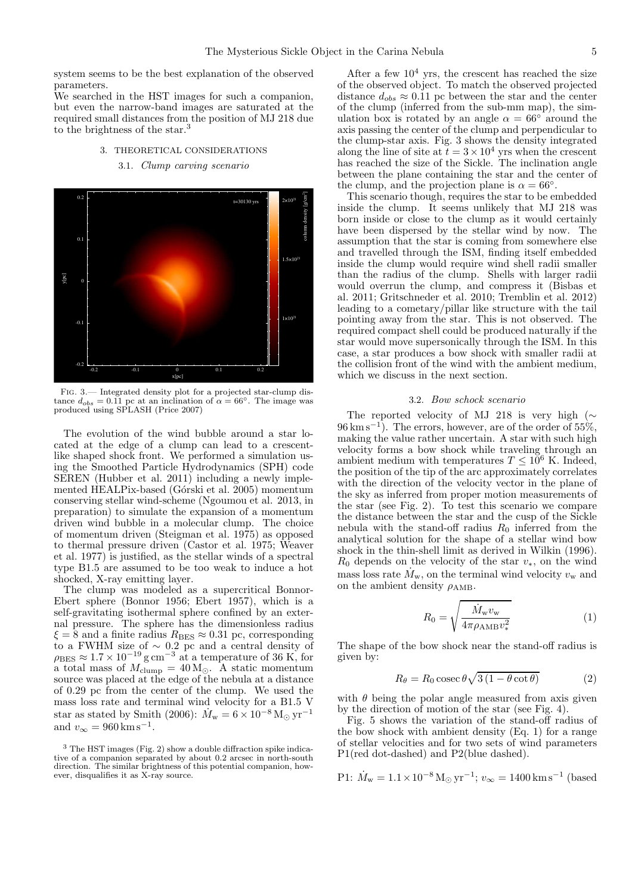system seems to be the best explanation of the observed parameters.

We searched in the HST images for such a companion, but even the narrow-band images are saturated at the required small distances from the position of MJ 218 due to the brightness of the star.<sup>3</sup>

# 3. THEORETICAL CONSIDERATIONS 3.1. Clump carving scenario



Fig. 3.— Integrated density plot for a projected star-clump distance  $d_{obs} = 0.11$  pc at an inclination of  $\alpha = 66^{\circ}$ . The image was produced using SPLASH (Price 2007)

The evolution of the wind bubble around a star located at the edge of a clump can lead to a crescentlike shaped shock front. We performed a simulation using the Smoothed Particle Hydrodynamics (SPH) code SEREN (Hubber et al. 2011) including a newly implemented HEALPix-based (Górski et al. 2005) momentum conserving stellar wind-scheme (Ngoumou et al. 2013, in preparation) to simulate the expansion of a momentum driven wind bubble in a molecular clump. The choice of momentum driven (Steigman et al. 1975) as opposed to thermal pressure driven (Castor et al. 1975; Weaver et al. 1977) is justified, as the stellar winds of a spectral type B1.5 are assumed to be too weak to induce a hot shocked, X-ray emitting layer.

The clump was modeled as a supercritical Bonnor-Ebert sphere (Bonnor 1956; Ebert 1957), which is a self-gravitating isothermal sphere confined by an external pressure. The sphere has the dimensionless radius  $\xi = 8$  and a finite radius  $R_{\text{BES}} \approx 0.31$  pc, corresponding to a FWHM size of ∼ 0.2 pc and a central density of  $\rho_{\rm BES} \approx 1.7 \times 10^{-19} \,\rm g\,cm^{-3}$  at a temperature of 36 K, for a total mass of  $M_{\text{clump}} = 40 \,\text{M}_{\odot}$ . A static momentum source was placed at the edge of the nebula at a distance of 0.29 pc from the center of the clump. We used the mass loss rate and terminal wind velocity for a B1.5 V star as stated by Smith (2006):  $\dot{M}_{\rm w} = 6 \times 10^{-8} \,\rm M_{\odot} \, yr^{-1}$ and  $v_{\infty} = 960 \,\mathrm{km\,s^{-1}}$ .

<sup>3</sup> The HST images (Fig. 2) show a double diffraction spike indicative of a companion separated by about 0.2 arcsec in north-south direction. The similar brightness of this potential companion, however, disqualifies it as X-ray source.

After a few  $10<sup>4</sup>$  yrs, the crescent has reached the size of the observed object. To match the observed projected distance  $d_{obs} \approx 0.11$  pc between the star and the center of the clump (inferred from the sub-mm map), the simulation box is rotated by an angle  $\alpha = 66°$  around the axis passing the center of the clump and perpendicular to the clump-star axis. Fig. 3 shows the density integrated along the line of site at  $t = 3 \times 10^4$  yrs when the crescent has reached the size of the Sickle. The inclination angle between the plane containing the star and the center of the clump, and the projection plane is  $\alpha = 66^{\circ}$ .

This scenario though, requires the star to be embedded inside the clump. It seems unlikely that MJ 218 was born inside or close to the clump as it would certainly have been dispersed by the stellar wind by now. The assumption that the star is coming from somewhere else and travelled through the ISM, finding itself embedded inside the clump would require wind shell radii smaller than the radius of the clump. Shells with larger radii would overrun the clump, and compress it (Bisbas et al. 2011; Gritschneder et al. 2010; Tremblin et al. 2012) leading to a cometary/pillar like structure with the tail pointing away from the star. This is not observed. The required compact shell could be produced naturally if the star would move supersonically through the ISM. In this case, a star produces a bow shock with smaller radii at the collision front of the wind with the ambient medium, which we discuss in the next section.

## 3.2. Bow schock scenario

The reported velocity of MJ 218 is very high (∼ 96 km s<sup>−</sup><sup>1</sup> ). The errors, however, are of the order of 55%, making the value rather uncertain. A star with such high velocity forms a bow shock while traveling through an ambient medium with temperatures  $T \n\leq 10^6$  K. Indeed, the position of the tip of the arc approximately correlates with the direction of the velocity vector in the plane of the sky as inferred from proper motion measurements of the star (see Fig. 2). To test this scenario we compare the distance between the star and the cusp of the Sickle nebula with the stand-off radius  $R_0$  inferred from the analytical solution for the shape of a stellar wind bow shock in the thin-shell limit as derived in Wilkin (1996).  $R_0$  depends on the velocity of the star  $v_*,$  on the wind mass loss rate  $\dot{M}_{\rm w}$ , on the terminal wind velocity  $v_{\rm w}$  and on the ambient density  $\rho_{AMB}$ .

$$
R_0 = \sqrt{\frac{\dot{M}_{\rm w} v_{\rm w}}{4\pi\rho_{\rm AMB} v_{*}^2}}\tag{1}
$$

The shape of the bow shock near the stand-off radius is given by:

$$
R_{\theta} = R_0 \csc \theta \sqrt{3(1 - \theta \cot \theta)} \tag{2}
$$

with  $\theta$  being the polar angle measured from axis given by the direction of motion of the star (see Fig. 4).

Fig. 5 shows the variation of the stand-off radius of the bow shock with ambient density (Eq. 1) for a range of stellar velocities and for two sets of wind parameters P1(red dot-dashed) and P2(blue dashed).

P1: 
$$
\dot{M}_w = 1.1 \times 10^{-8} M_{\odot} yr^{-1}
$$
;  $v_{\infty} = 1400 \text{ km s}^{-1}$  (based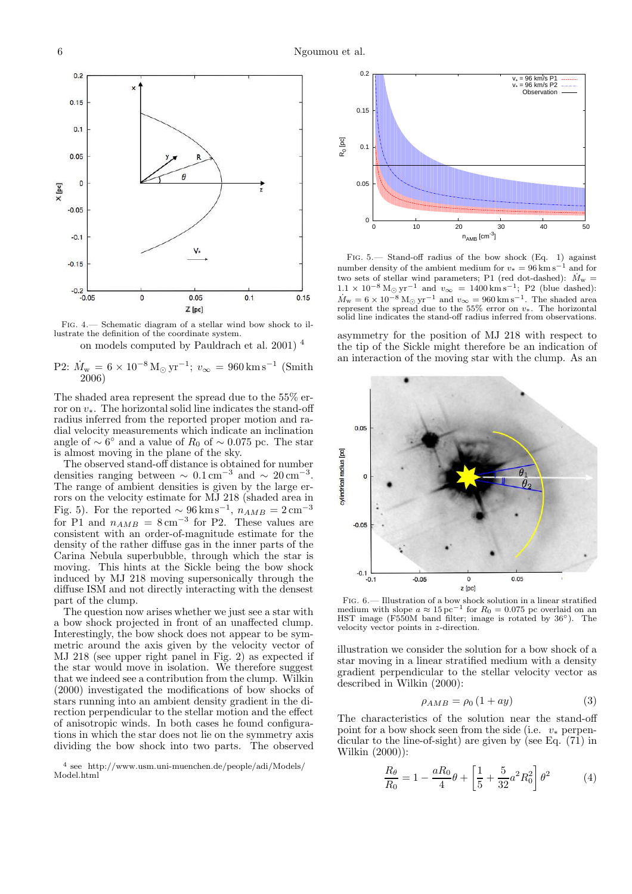

Fig. 4.— Schematic diagram of a stellar wind bow shock to illustrate the definition of the coordinate system.

on models computed by Pauldrach et al. 2001) <sup>4</sup>

P2: 
$$
\dot{M}_{\text{w}} = 6 \times 10^{-8} \,\text{M}_{\odot} \,\text{yr}^{-1}
$$
;  $v_{\infty} = 960 \,\text{km} \,\text{s}^{-1}$  (Smith 2006)

The shaded area represent the spread due to the 55% error on v∗. The horizontal solid line indicates the stand-off radius inferred from the reported proper motion and radial velocity measurements which indicate an inclination angle of  $\sim 6^{\circ}$  and a value of  $R_0$  of  $\sim 0.075$  pc. The star is almost moving in the plane of the sky.

The observed stand-off distance is obtained for number densities ranging between  $\sim 0.1 \text{ cm}^{-3}$  and  $\sim 20 \text{ cm}^{-3}$ . The range of ambient densities is given by the large errors on the velocity estimate for MJ 218 (shaded area in Fig. 5). For the reported  $\sim 96 \,\mathrm{km \, s^{-1}}$ ,  $n_{AMB} = 2 \,\mathrm{cm^{-3}}$ for P1 and  $n_{AMB} = 8 \text{ cm}^{-3}$  for P2. These values are consistent with an order-of-magnitude estimate for the density of the rather diffuse gas in the inner parts of the Carina Nebula superbubble, through which the star is moving. This hints at the Sickle being the bow shock induced by MJ 218 moving supersonically through the diffuse ISM and not directly interacting with the densest part of the clump.

The question now arises whether we just see a star with a bow shock projected in front of an unaffected clump. Interestingly, the bow shock does not appear to be symmetric around the axis given by the velocity vector of MJ 218 (see upper right panel in Fig. 2) as expected if the star would move in isolation. We therefore suggest that we indeed see a contribution from the clump. Wilkin (2000) investigated the modifications of bow shocks of stars running into an ambient density gradient in the direction perpendicular to the stellar motion and the effect of anisotropic winds. In both cases he found configurations in which the star does not lie on the symmetry axis dividing the bow shock into two parts. The observed

4 see http://www.usm.uni-muenchen.de/people/adi/Models/ Model.html



FIG. 5.— Stand-off radius of the bow shock (Eq. 1) against number density of the ambient medium for  $v_* = 96 \text{ km s}^{-1}$  and for two sets of stellar wind parameters; P1 (red dot-dashed):  $\dot{M}_{\rm w}$  =  $1.1 \times 10^{-8}$  M<sub>☉</sub> yr<sup>-1</sup> and  $v_{\infty} = 1400$  km s<sup>-1</sup>; P2 (blue dashed):  $\dot{M}_{\rm w} = 6 \times 10^{-8}$  M<sub>☉</sub> yr<sup>-1</sup> and  $v_{\infty} = 960$  km s<sup>-1</sup>. The shaded area represent the spread due to the  $55\%$  error on  $v_*$ . The horizontal solid line indicates the stand-off radius inferred from observations.

asymmetry for the position of MJ 218 with respect to the tip of the Sickle might therefore be an indication of an interaction of the moving star with the clump. As an



FIG. 6.— Illustration of a bow shock solution in a linear stratified medium with slope  $a \approx 15 \,\mathrm{pc}^{-1}$  for  $R_0 = 0.075$  pc overlaid on an HST image (F550M band filter; image is rotated by 36°). The velocity vector points in z-direction.

illustration we consider the solution for a bow shock of a star moving in a linear stratified medium with a density gradient perpendicular to the stellar velocity vector as described in Wilkin (2000):

$$
\rho_{AMB} = \rho_0 \left( 1 + ay \right) \tag{3}
$$

The characteristics of the solution near the stand-off point for a bow shock seen from the side (i.e.  $v_*$  perpendicular to the line-of-sight) are given by (see Eq. (71) in Wilkin (2000)):

$$
\frac{R_{\theta}}{R_0} = 1 - \frac{aR_0}{4}\theta + \left[\frac{1}{5} + \frac{5}{32}a^2R_0^2\right]\theta^2
$$
 (4)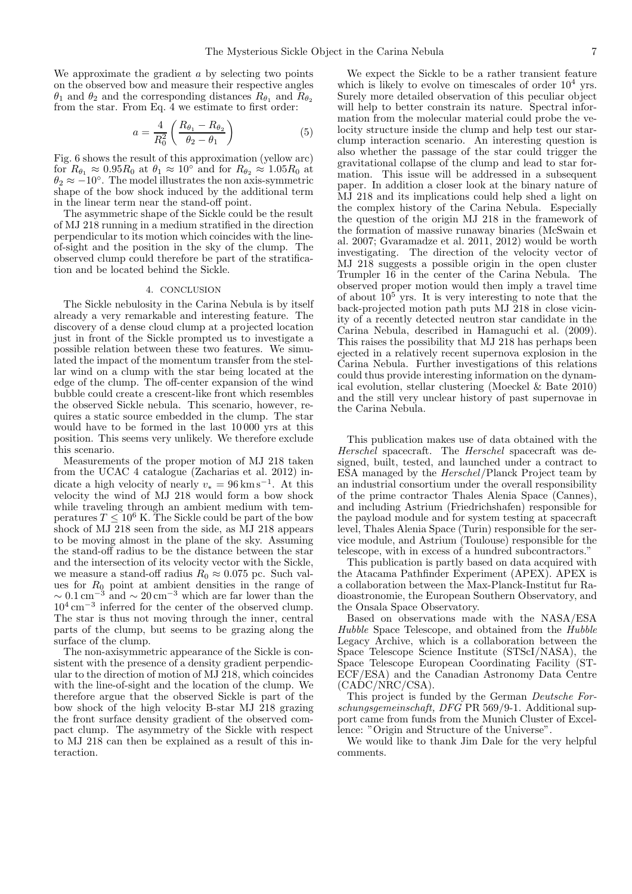We approximate the gradient  $a$  by selecting two points on the observed bow and measure their respective angles  $\theta_1$  and  $\theta_2$  and the corresponding distances  $R_{\theta_1}$  and  $R_{\theta_2}$ from the star. From Eq. 4 we estimate to first order:

$$
a = \frac{4}{R_0^2} \left( \frac{R_{\theta_1} - R_{\theta_2}}{\theta_2 - \theta_1} \right) \tag{5}
$$

Fig. 6 shows the result of this approximation (yellow arc) for  $R_{\theta_1} \approx 0.95R_0$  at  $\theta_1 \approx 10^{\circ}$  and for  $R_{\theta_2} \approx 1.05R_0$  at  $\theta_2 \approx -10^{\circ}$ . The model illustrates the non axis-symmetric shape of the bow shock induced by the additional term in the linear term near the stand-off point.

The asymmetric shape of the Sickle could be the result of MJ 218 running in a medium stratified in the direction perpendicular to its motion which coincides with the lineof-sight and the position in the sky of the clump. The observed clump could therefore be part of the stratification and be located behind the Sickle.

## 4. CONCLUSION

The Sickle nebulosity in the Carina Nebula is by itself already a very remarkable and interesting feature. The discovery of a dense cloud clump at a projected location just in front of the Sickle prompted us to investigate a possible relation between these two features. We simulated the impact of the momentum transfer from the stellar wind on a clump with the star being located at the edge of the clump. The off-center expansion of the wind bubble could create a crescent-like front which resembles the observed Sickle nebula. This scenario, however, requires a static source embedded in the clump. The star would have to be formed in the last 10 000 yrs at this position. This seems very unlikely. We therefore exclude this scenario.

Measurements of the proper motion of MJ 218 taken from the UCAC 4 catalogue (Zacharias et al. 2012) indicate a high velocity of nearly  $v_* = 96 \,\mathrm{km\,s^{-1}}$ . At this velocity the wind of MJ 218 would form a bow shock while traveling through an ambient medium with temperatures  $T < 10^6$  K. The Sickle could be part of the bow shock of MJ 218 seen from the side, as MJ 218 appears to be moving almost in the plane of the sky. Assuming the stand-off radius to be the distance between the star and the intersection of its velocity vector with the Sickle, we measure a stand-off radius  $R_0 \approx 0.075$  pc. Such values for  $R_0$  point at ambient densities in the range of  $\sim 0.1 \,\mathrm{cm}^{-3}$  and  $\sim 20 \,\mathrm{cm}^{-3}$  which are far lower than the 10<sup>4</sup> cm<sup>−</sup><sup>3</sup> inferred for the center of the observed clump. The star is thus not moving through the inner, central parts of the clump, but seems to be grazing along the surface of the clump.

The non-axisymmetric appearance of the Sickle is consistent with the presence of a density gradient perpendicular to the direction of motion of MJ 218, which coincides with the line-of-sight and the location of the clump. We therefore argue that the observed Sickle is part of the bow shock of the high velocity B-star MJ 218 grazing the front surface density gradient of the observed compact clump. The asymmetry of the Sickle with respect to MJ 218 can then be explained as a result of this interaction.

We expect the Sickle to be a rather transient feature which is likely to evolve on timescales of order  $10^4$  yrs. Surely more detailed observation of this peculiar object will help to better constrain its nature. Spectral information from the molecular material could probe the velocity structure inside the clump and help test our starclump interaction scenario. An interesting question is also whether the passage of the star could trigger the gravitational collapse of the clump and lead to star formation. This issue will be addressed in a subsequent paper. In addition a closer look at the binary nature of MJ 218 and its implications could help shed a light on the complex history of the Carina Nebula. Especially the question of the origin MJ 218 in the framework of the formation of massive runaway binaries (McSwain et al. 2007; Gvaramadze et al. 2011, 2012) would be worth investigating. The direction of the velocity vector of MJ 218 suggests a possible origin in the open cluster Trumpler 16 in the center of the Carina Nebula. The observed proper motion would then imply a travel time of about  $10<sup>5</sup>$  yrs. It is very interesting to note that the back-projected motion path puts MJ 218 in close vicinity of a recently detected neutron star candidate in the Carina Nebula, described in Hamaguchi et al. (2009). This raises the possibility that MJ 218 has perhaps been ejected in a relatively recent supernova explosion in the Carina Nebula. Further investigations of this relations could thus provide interesting information on the dynamical evolution, stellar clustering (Moeckel & Bate 2010) and the still very unclear history of past supernovae in the Carina Nebula.

This publication makes use of data obtained with the Herschel spacecraft. The Herschel spacecraft was designed, built, tested, and launched under a contract to ESA managed by the Herschel/Planck Project team by an industrial consortium under the overall responsibility of the prime contractor Thales Alenia Space (Cannes), and including Astrium (Friedrichshafen) responsible for the payload module and for system testing at spacecraft level, Thales Alenia Space (Turin) responsible for the service module, and Astrium (Toulouse) responsible for the telescope, with in excess of a hundred subcontractors."

This publication is partly based on data acquired with the Atacama Pathfinder Experiment (APEX). APEX is a collaboration between the Max-Planck-Institut fur Radioastronomie, the European Southern Observatory, and the Onsala Space Observatory.

Based on observations made with the NASA/ESA Hubble Space Telescope, and obtained from the  $\hat{H}ubble$ Legacy Archive, which is a collaboration between the Space Telescope Science Institute (STScI/NASA), the Space Telescope European Coordinating Facility (ST-ECF/ESA) and the Canadian Astronomy Data Centre (CADC/NRC/CSA).

This project is funded by the German Deutsche Forschungsgemeinschaft, DFG PR 569/9-1. Additional support came from funds from the Munich Cluster of Excellence: "Origin and Structure of the Universe".

We would like to thank Jim Dale for the very helpful comments.